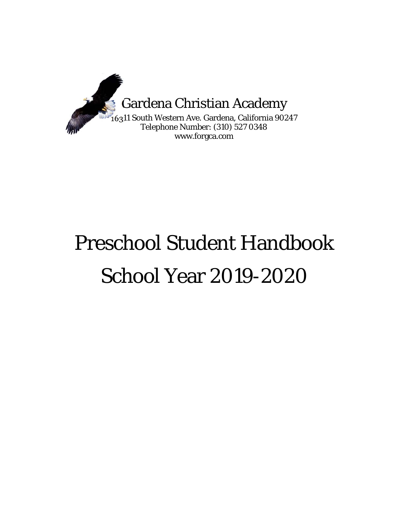

# Preschool Student Handbook School Year 2019-2020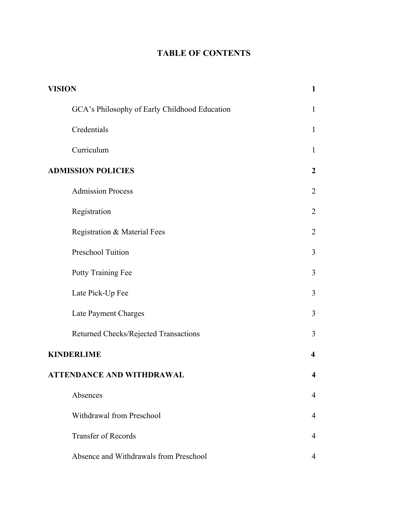# **TABLE OF CONTENTS**

| <b>VISION</b>                                 |                         |
|-----------------------------------------------|-------------------------|
| GCA's Philosophy of Early Childhood Education | $\mathbf{1}$            |
| Credentials                                   | $\mathbf{1}$            |
| Curriculum                                    | $\mathbf{1}$            |
| <b>ADMISSION POLICIES</b>                     | $\overline{2}$          |
| <b>Admission Process</b>                      | $\overline{2}$          |
| Registration                                  | $\overline{2}$          |
| Registration & Material Fees                  | $\overline{2}$          |
| Preschool Tuition                             | 3                       |
| Potty Training Fee                            | 3                       |
| Late Pick-Up Fee                              | 3                       |
| Late Payment Charges                          | 3                       |
| Returned Checks/Rejected Transactions         | 3                       |
| <b>KINDERLIME</b>                             | $\overline{\mathbf{4}}$ |
| <b>ATTENDANCE AND WITHDRAWAL</b>              | $\overline{\mathbf{4}}$ |
| Absences                                      | $\overline{4}$          |
| <b>Withdrawal from Preschool</b>              | $\overline{4}$          |
| <b>Transfer of Records</b>                    | $\overline{4}$          |
| Absence and Withdrawals from Preschool        | 4                       |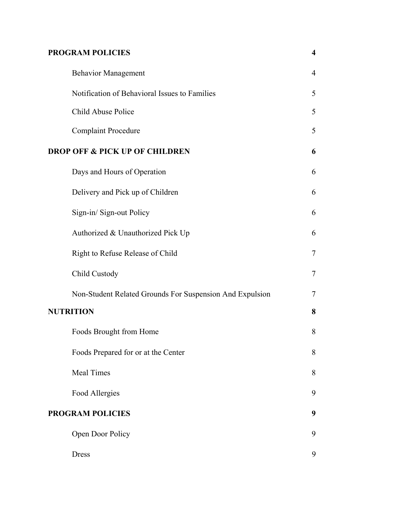# **PROGRAM POLICIES 4**

| <b>Behavior Management</b>                               | $\overline{4}$ |
|----------------------------------------------------------|----------------|
| Notification of Behavioral Issues to Families            | 5              |
| Child Abuse Police                                       | 5              |
| <b>Complaint Procedure</b>                               | 5              |
| <b>DROP OFF &amp; PICK UP OF CHILDREN</b>                | 6              |
| Days and Hours of Operation                              | 6              |
| Delivery and Pick up of Children                         | 6              |
| Sign-in/Sign-out Policy                                  | 6              |
| Authorized & Unauthorized Pick Up                        | 6              |
| Right to Refuse Release of Child                         | $\tau$         |
| Child Custody                                            | $\tau$         |
| Non-Student Related Grounds For Suspension And Expulsion | 7              |
| <b>NUTRITION</b>                                         | 8              |
| Foods Brought from Home                                  | 8              |
| Foods Prepared for or at the Center                      | 8              |
| <b>Meal Times</b>                                        | 8              |
| Food Allergies                                           | 9              |
| <b>PROGRAM POLICIES</b>                                  | 9              |
| Open Door Policy                                         | 9              |
| <b>Dress</b>                                             | 9              |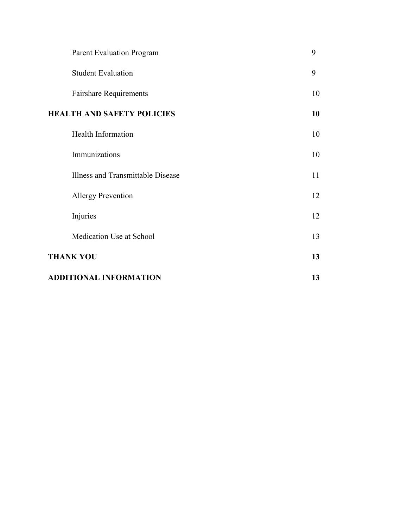| <b>Parent Evaluation Program</b>  | 9  |
|-----------------------------------|----|
| <b>Student Evaluation</b>         | 9  |
| <b>Fairshare Requirements</b>     | 10 |
| <b>HEALTH AND SAFETY POLICIES</b> | 10 |
| <b>Health Information</b>         | 10 |
| Immunizations                     | 10 |
| Illness and Transmittable Disease | 11 |
| <b>Allergy Prevention</b>         | 12 |
| Injuries                          | 12 |
| Medication Use at School          | 13 |
| <b>THANK YOU</b>                  | 13 |
| <b>ADDITIONAL INFORMATION</b>     |    |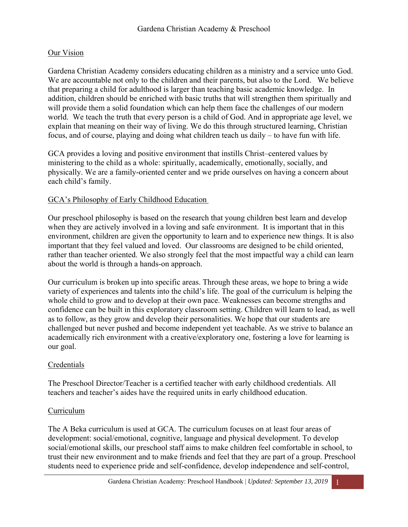#### Our Vision

Gardena Christian Academy considers educating children as a ministry and a service unto God. We are accountable not only to the children and their parents, but also to the Lord. We believe that preparing a child for adulthood is larger than teaching basic academic knowledge. In addition, children should be enriched with basic truths that will strengthen them spiritually and will provide them a solid foundation which can help them face the challenges of our modern world. We teach the truth that every person is a child of God. And in appropriate age level, we explain that meaning on their way of living. We do this through structured learning, Christian focus, and of course, playing and doing what children teach us daily – to have fun with life.

GCA provides a loving and positive environment that instills Christ–centered values by ministering to the child as a whole: spiritually, academically, emotionally, socially, and physically. We are a family-oriented center and we pride ourselves on having a concern about each child's family.

## GCA's Philosophy of Early Childhood Education

Our preschool philosophy is based on the research that young children best learn and develop when they are actively involved in a loving and safe environment. It is important that in this environment, children are given the opportunity to learn and to experience new things. It is also important that they feel valued and loved. Our classrooms are designed to be child oriented, rather than teacher oriented. We also strongly feel that the most impactful way a child can learn about the world is through a hands-on approach.

Our curriculum is broken up into specific areas. Through these areas, we hope to bring a wide variety of experiences and talents into the child's life. The goal of the curriculum is helping the whole child to grow and to develop at their own pace. Weaknesses can become strengths and confidence can be built in this exploratory classroom setting. Children will learn to lead, as well as to follow, as they grow and develop their personalities. We hope that our students are challenged but never pushed and become independent yet teachable. As we strive to balance an academically rich environment with a creative/exploratory one, fostering a love for learning is our goal.

#### Credentials

The Preschool Director/Teacher is a certified teacher with early childhood credentials. All teachers and teacher's aides have the required units in early childhood education.

#### Curriculum

The A Beka curriculum is used at GCA. The curriculum focuses on at least four areas of development: social/emotional, cognitive, language and physical development. To develop social/emotional skills, our preschool staff aims to make children feel comfortable in school, to trust their new environment and to make friends and feel that they are part of a group. Preschool students need to experience pride and self-confidence, develop independence and self-control,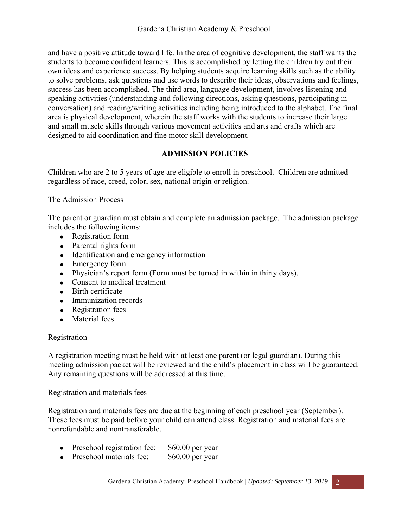and have a positive attitude toward life. In the area of cognitive development, the staff wants the students to become confident learners. This is accomplished by letting the children try out their own ideas and experience success. By helping students acquire learning skills such as the ability to solve problems, ask questions and use words to describe their ideas, observations and feelings, success has been accomplished. The third area, language development, involves listening and speaking activities (understanding and following directions, asking questions, participating in conversation) and reading/writing activities including being introduced to the alphabet. The final area is physical development, wherein the staff works with the students to increase their large and small muscle skills through various movement activities and arts and crafts which are designed to aid coordination and fine motor skill development.

# **ADMISSION POLICIES**

Children who are 2 to 5 years of age are eligible to enroll in preschool. Children are admitted regardless of race, creed, color, sex, national origin or religion.

#### The Admission Process

The parent or guardian must obtain and complete an admission package. The admission package includes the following items:

- Registration form
- Parental rights form
- Identification and emergency information
- Emergency form
- Physician's report form (Form must be turned in within in thirty days).
- Consent to medical treatment
- Birth certificate
- Immunization records
- Registration fees
- Material fees

#### Registration

A registration meeting must be held with at least one parent (or legal guardian). During this meeting admission packet will be reviewed and the child's placement in class will be guaranteed. Any remaining questions will be addressed at this time.

#### Registration and materials fees

Registration and materials fees are due at the beginning of each preschool year (September). These fees must be paid before your child can attend class. Registration and material fees are nonrefundable and nontransferable.

- Preschool registration fee: \$60.00 per year
- Preschool materials fee: \$60.00 per year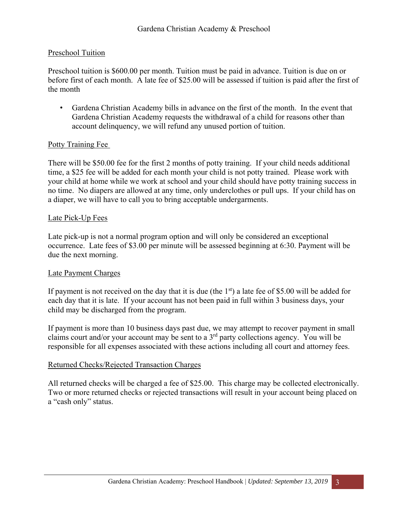#### Preschool Tuition

Preschool tuition is \$600.00 per month. Tuition must be paid in advance. Tuition is due on or before first of each month. A late fee of \$25.00 will be assessed if tuition is paid after the first of the month

• Gardena Christian Academy bills in advance on the first of the month. In the event that Gardena Christian Academy requests the withdrawal of a child for reasons other than account delinquency, we will refund any unused portion of tuition.

#### Potty Training Fee

There will be \$50.00 fee for the first 2 months of potty training. If your child needs additional time, a \$25 fee will be added for each month your child is not potty trained. Please work with your child at home while we work at school and your child should have potty training success in no time. No diapers are allowed at any time, only underclothes or pull ups. If your child has on a diaper, we will have to call you to bring acceptable undergarments.

#### Late Pick-Up Fees

Late pick-up is not a normal program option and will only be considered an exceptional occurrence. Late fees of \$3.00 per minute will be assessed beginning at 6:30. Payment will be due the next morning.

#### Late Payment Charges

If payment is not received on the day that it is due (the  $1<sup>st</sup>$ ) a late fee of \$5.00 will be added for each day that it is late. If your account has not been paid in full within 3 business days, your child may be discharged from the program.

If payment is more than 10 business days past due, we may attempt to recover payment in small claims court and/or your account may be sent to a 3rd party collections agency. You will be responsible for all expenses associated with these actions including all court and attorney fees.

#### Returned Checks/Rejected Transaction Charges

All returned checks will be charged a fee of \$25.00. This charge may be collected electronically. Two or more returned checks or rejected transactions will result in your account being placed on a "cash only" status.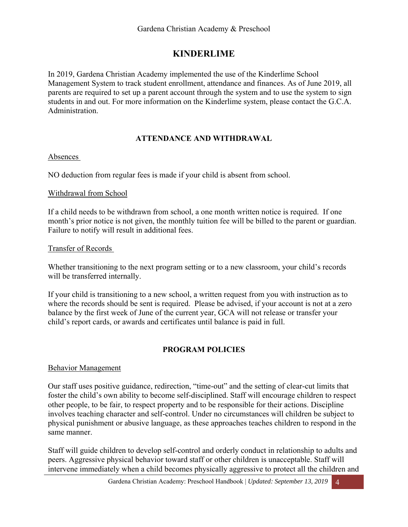# **KINDERLIME**

In 2019, Gardena Christian Academy implemented the use of the Kinderlime School Management System to track student enrollment, attendance and finances. As of June 2019, all parents are required to set up a parent account through the system and to use the system to sign students in and out. For more information on the Kinderlime system, please contact the G.C.A. Administration.

# **ATTENDANCE AND WITHDRAWAL**

#### Absences

NO deduction from regular fees is made if your child is absent from school.

#### Withdrawal from School

If a child needs to be withdrawn from school, a one month written notice is required. If one month's prior notice is not given, the monthly tuition fee will be billed to the parent or guardian. Failure to notify will result in additional fees.

#### Transfer of Records

Whether transitioning to the next program setting or to a new classroom, your child's records will be transferred internally.

If your child is transitioning to a new school, a written request from you with instruction as to where the records should be sent is required. Please be advised, if your account is not at a zero balance by the first week of June of the current year, GCA will not release or transfer your child's report cards, or awards and certificates until balance is paid in full.

# **PROGRAM POLICIES**

#### Behavior Management

Our staff uses positive guidance, redirection, "time-out" and the setting of clear-cut limits that foster the child's own ability to become self-disciplined. Staff will encourage children to respect other people, to be fair, to respect property and to be responsible for their actions. Discipline involves teaching character and self-control. Under no circumstances will children be subject to physical punishment or abusive language, as these approaches teaches children to respond in the same manner.

Staff will guide children to develop self-control and orderly conduct in relationship to adults and peers. Aggressive physical behavior toward staff or other children is unacceptable. Staff will intervene immediately when a child becomes physically aggressive to protect all the children and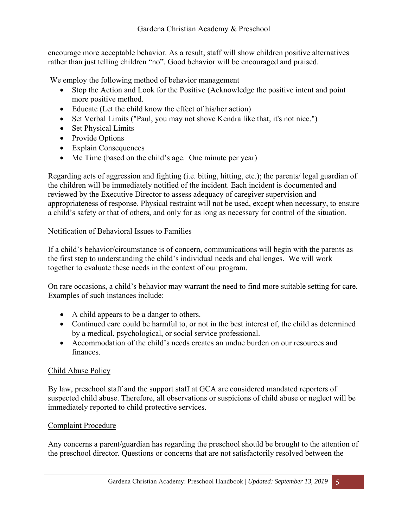encourage more acceptable behavior. As a result, staff will show children positive alternatives rather than just telling children "no". Good behavior will be encouraged and praised.

We employ the following method of behavior management

- Stop the Action and Look for the Positive (Acknowledge the positive intent and point more positive method.
- Educate (Let the child know the effect of his/her action)
- Set Verbal Limits ("Paul, you may not shove Kendra like that, it's not nice.")
- Set Physical Limits
- Provide Options
- Explain Consequences
- Me Time (based on the child's age. One minute per year)

Regarding acts of aggression and fighting (i.e. biting, hitting, etc.); the parents/ legal guardian of the children will be immediately notified of the incident. Each incident is documented and reviewed by the Executive Director to assess adequacy of caregiver supervision and appropriateness of response. Physical restraint will not be used, except when necessary, to ensure a child's safety or that of others, and only for as long as necessary for control of the situation.

#### Notification of Behavioral Issues to Families

If a child's behavior/circumstance is of concern, communications will begin with the parents as the first step to understanding the child's individual needs and challenges. We will work together to evaluate these needs in the context of our program.

On rare occasions, a child's behavior may warrant the need to find more suitable setting for care. Examples of such instances include:

- A child appears to be a danger to others.
- Continued care could be harmful to, or not in the best interest of, the child as determined by a medical, psychological, or social service professional.
- Accommodation of the child's needs creates an undue burden on our resources and finances.

#### Child Abuse Policy

By law, preschool staff and the support staff at GCA are considered mandated reporters of suspected child abuse. Therefore, all observations or suspicions of child abuse or neglect will be immediately reported to child protective services.

#### Complaint Procedure

Any concerns a parent/guardian has regarding the preschool should be brought to the attention of the preschool director. Questions or concerns that are not satisfactorily resolved between the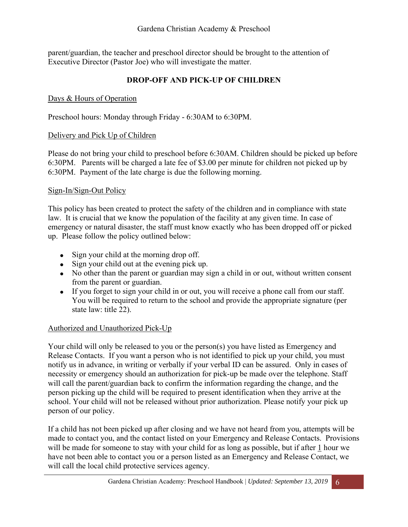parent/guardian, the teacher and preschool director should be brought to the attention of Executive Director (Pastor Joe) who will investigate the matter.

## **DROP-OFF AND PICK-UP OF CHILDREN**

#### Days & Hours of Operation

Preschool hours: Monday through Friday - 6:30AM to 6:30PM.

#### Delivery and Pick Up of Children

Please do not bring your child to preschool before 6:30AM. Children should be picked up before 6:30PM. Parents will be charged a late fee of \$3.00 per minute for children not picked up by 6:30PM. Payment of the late charge is due the following morning.

#### Sign-In/Sign-Out Policy

This policy has been created to protect the safety of the children and in compliance with state law. It is crucial that we know the population of the facility at any given time. In case of emergency or natural disaster, the staff must know exactly who has been dropped off or picked up. Please follow the policy outlined below:

- Sign your child at the morning drop off.
- Sign your child out at the evening pick up.
- No other than the parent or guardian may sign a child in or out, without written consent from the parent or guardian.
- If you forget to sign your child in or out, you will receive a phone call from our staff. You will be required to return to the school and provide the appropriate signature (per state law: title 22).

#### Authorized and Unauthorized Pick-Up

Your child will only be released to you or the person(s) you have listed as Emergency and Release Contacts. If you want a person who is not identified to pick up your child, you must notify us in advance, in writing or verbally if your verbal ID can be assured. Only in cases of necessity or emergency should an authorization for pick-up be made over the telephone. Staff will call the parent/guardian back to confirm the information regarding the change, and the person picking up the child will be required to present identification when they arrive at the school. Your child will not be released without prior authorization. Please notify your pick up person of our policy.

If a child has not been picked up after closing and we have not heard from you, attempts will be made to contact you, and the contact listed on your Emergency and Release Contacts. Provisions will be made for someone to stay with your child for as long as possible, but if after 1 hour we have not been able to contact you or a person listed as an Emergency and Release Contact, we will call the local child protective services agency.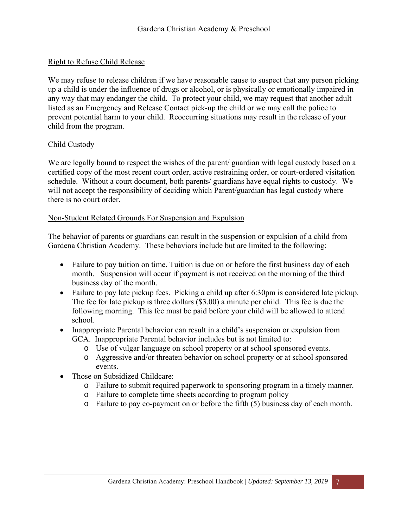#### Right to Refuse Child Release

We may refuse to release children if we have reasonable cause to suspect that any person picking up a child is under the influence of drugs or alcohol, or is physically or emotionally impaired in any way that may endanger the child. To protect your child, we may request that another adult listed as an Emergency and Release Contact pick-up the child or we may call the police to prevent potential harm to your child. Reoccurring situations may result in the release of your child from the program.

#### Child Custody

We are legally bound to respect the wishes of the parent/ guardian with legal custody based on a certified copy of the most recent court order, active restraining order, or court-ordered visitation schedule. Without a court document, both parents/ guardians have equal rights to custody. We will not accept the responsibility of deciding which Parent/guardian has legal custody where there is no court order.

#### Non-Student Related Grounds For Suspension and Expulsion

The behavior of parents or guardians can result in the suspension or expulsion of a child from Gardena Christian Academy. These behaviors include but are limited to the following:

- Failure to pay tuition on time. Tuition is due on or before the first business day of each month. Suspension will occur if payment is not received on the morning of the third business day of the month.
- Failure to pay late pickup fees. Picking a child up after 6:30pm is considered late pickup. The fee for late pickup is three dollars (\$3.00) a minute per child. This fee is due the following morning. This fee must be paid before your child will be allowed to attend school.
- Inappropriate Parental behavior can result in a child's suspension or expulsion from GCA. Inappropriate Parental behavior includes but is not limited to:
	- o Use of vulgar language on school property or at school sponsored events.
	- o Aggressive and/or threaten behavior on school property or at school sponsored events.
- Those on Subsidized Childcare:
	- o Failure to submit required paperwork to sponsoring program in a timely manner.
	- o Failure to complete time sheets according to program policy
	- o Failure to pay co-payment on or before the fifth (5) business day of each month.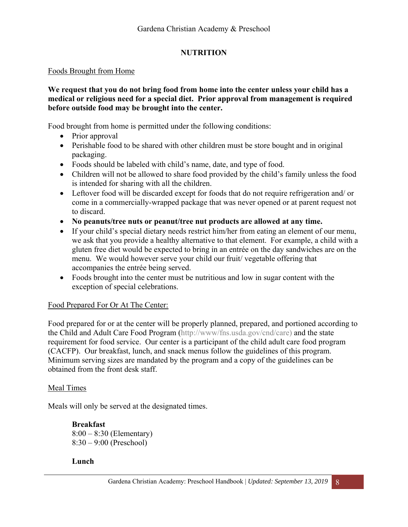# **NUTRITION**

#### Foods Brought from Home

#### **We request that you do not bring food from home into the center unless your child has a medical or religious need for a special diet. Prior approval from management is required before outside food may be brought into the center.**

Food brought from home is permitted under the following conditions:

- Prior approval
- Perishable food to be shared with other children must be store bought and in original packaging.
- Foods should be labeled with child's name, date, and type of food.
- Children will not be allowed to share food provided by the child's family unless the food is intended for sharing with all the children.
- Leftover food will be discarded except for foods that do not require refrigeration and/ or come in a commercially-wrapped package that was never opened or at parent request not to discard.
- **No peanuts/tree nuts or peanut/tree nut products are allowed at any time.**
- If your child's special dietary needs restrict him/her from eating an element of our menu, we ask that you provide a healthy alternative to that element. For example, a child with a gluten free diet would be expected to bring in an entrée on the day sandwiches are on the menu. We would however serve your child our fruit/ vegetable offering that accompanies the entrée being served.
- Foods brought into the center must be nutritious and low in sugar content with the exception of special celebrations.

# Food Prepared For Or At The Center:

Food prepared for or at the center will be properly planned, prepared, and portioned according to the Child and Adult Care Food Program (http://www/fns.usda.gov/cnd/care) and the state requirement for food service. Our center is a participant of the child adult care food program (CACFP). Our breakfast, lunch, and snack menus follow the guidelines of this program. Minimum serving sizes are mandated by the program and a copy of the guidelines can be obtained from the front desk staff.

#### Meal Times

Meals will only be served at the designated times.

**Breakfast**  8:00 – 8:30 (Elementary) 8:30 – 9:00 (Preschool)

# **Lunch**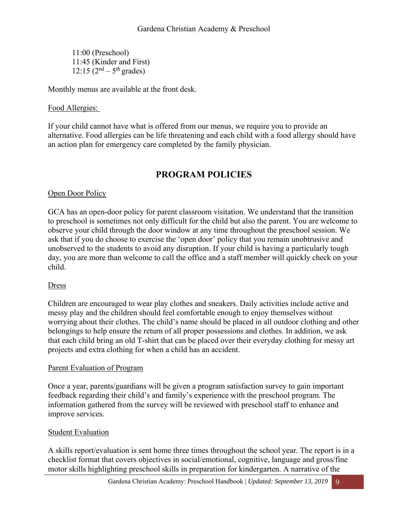11:00 (Preschool) 11:45 (Kinder and First)  $12:15(2^{nd} - 5^{th}$  grades)

Monthly menus are available at the front desk.

#### Food Allergies:

If your child cannot have what is offered from our menus, we require you to provide an alternative. Food allergies can be life threatening and each child with a food allergy should have an action plan for emergency care completed by the family physician.

# **PROGRAM POLICIES**

#### Open Door Policy

GCA has an open-door policy for parent classroom visitation. We understand that the transition to preschool is sometimes not only difficult for the child but also the parent. You are welcome to observe your child through the door window at any time throughout the preschool session. We ask that if you do choose to exercise the 'open door' policy that you remain unobtrusive and unobserved to the students to avoid any disruption. If your child is having a particularly tough day, you are more than welcome to call the office and a staff member will quickly check on your child.

#### Dress

Children are encouraged to wear play clothes and sneakers. Daily activities include active and messy play and the children should feel comfortable enough to enjoy themselves without worrying about their clothes. The child's name should be placed in all outdoor clothing and other belongings to help ensure the return of all proper possessions and clothes. In addition, we ask that each child bring an old T-shirt that can be placed over their everyday clothing for messy art projects and extra clothing for when a child has an accident.

#### Parent Evaluation of Program

Once a year, parents/guardians will be given a program satisfaction survey to gain important feedback regarding their child's and family's experience with the preschool program. The information gathered from the survey will be reviewed with preschool staff to enhance and improve services.

#### Student Evaluation

A skills report/evaluation is sent home three times throughout the school year. The report is in a checklist format that covers objectives in social/emotional, cognitive, language and gross/fine motor skills highlighting preschool skills in preparation for kindergarten. A narrative of the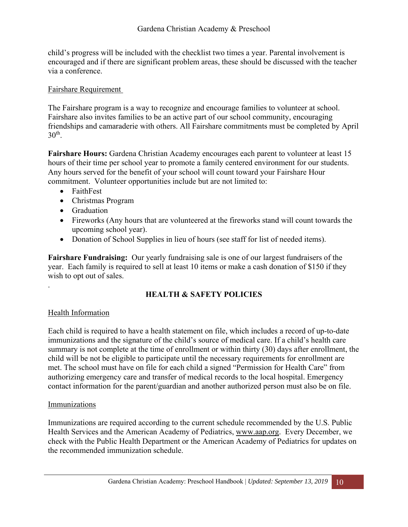child's progress will be included with the checklist two times a year. Parental involvement is encouraged and if there are significant problem areas, these should be discussed with the teacher via a conference.

#### Fairshare Requirement

The Fairshare program is a way to recognize and encourage families to volunteer at school. Fairshare also invites families to be an active part of our school community, encouraging friendships and camaraderie with others. All Fairshare commitments must be completed by April  $30<sup>th</sup>$ .

**Fairshare Hours:** Gardena Christian Academy encourages each parent to volunteer at least 15 hours of their time per school year to promote a family centered environment for our students. Any hours served for the benefit of your school will count toward your Fairshare Hour commitment. Volunteer opportunities include but are not limited to:

- FaithFest
- Christmas Program
- Graduation
- Fireworks (Any hours that are volunteered at the fireworks stand will count towards the upcoming school year).
- Donation of School Supplies in lieu of hours (see staff for list of needed items).

**Fairshare Fundraising:** Our yearly fundraising sale is one of our largest fundraisers of the year. Each family is required to sell at least 10 items or make a cash donation of \$150 if they wish to opt out of sales.

# **HEALTH & SAFETY POLICIES**

# Health Information

.

Each child is required to have a health statement on file, which includes a record of up-to-date immunizations and the signature of the child's source of medical care. If a child's health care summary is not complete at the time of enrollment or within thirty (30) days after enrollment, the child will be not be eligible to participate until the necessary requirements for enrollment are met. The school must have on file for each child a signed "Permission for Health Care" from authorizing emergency care and transfer of medical records to the local hospital. Emergency contact information for the parent/guardian and another authorized person must also be on file.

#### Immunizations

Immunizations are required according to the current schedule recommended by the U.S. Public Health Services and the American Academy of Pediatrics, www.aap.org. Every December, we check with the Public Health Department or the American Academy of Pediatrics for updates on the recommended immunization schedule.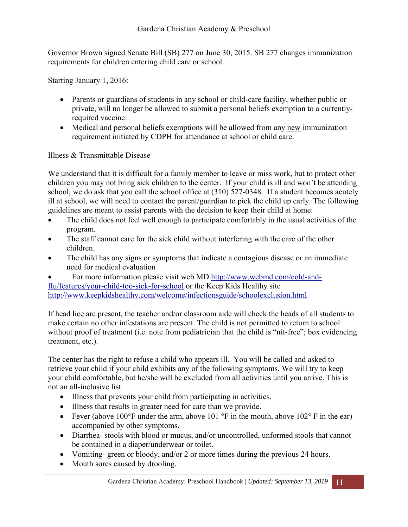Governor Brown signed Senate Bill (SB) 277 on June 30, 2015. SB 277 changes immunization requirements for children entering child care or school.

Starting January 1, 2016:

- Parents or guardians of students in any school or child-care facility, whether public or private, will no longer be allowed to submit a personal beliefs exemption to a currentlyrequired vaccine.
- Medical and personal beliefs exemptions will be allowed from any new immunization requirement initiated by CDPH for attendance at school or child care.

#### Illness & Transmittable Disease

We understand that it is difficult for a family member to leave or miss work, but to protect other children you may not bring sick children to the center. If your child is ill and won't be attending school, we do ask that you call the school office at (310) 527-0348. If a student becomes acutely ill at school, we will need to contact the parent/guardian to pick the child up early. The following guidelines are meant to assist parents with the decision to keep their child at home:

- The child does not feel well enough to participate comfortably in the usual activities of the program.
- The staff cannot care for the sick child without interfering with the care of the other children.
- The child has any signs or symptoms that indicate a contagious disease or an immediate need for medical evaluation

 For more information please visit web MD http://www.webmd.com/cold-andflu/features/your-child-too-sick-for-school or the Keep Kids Healthy site http://www.keepkidshealthy.com/welcome/infectionsguide/schoolexclusion.html

If head lice are present, the teacher and/or classroom aide will check the heads of all students to make certain no other infestations are present. The child is not permitted to return to school without proof of treatment (i.e. note from pediatrician that the child is "nit-free"; box evidencing treatment, etc.).

The center has the right to refuse a child who appears ill. You will be called and asked to retrieve your child if your child exhibits any of the following symptoms. We will try to keep your child comfortable, but he/she will be excluded from all activities until you arrive. This is not an all-inclusive list.

- Illness that prevents your child from participating in activities.
- Illness that results in greater need for care than we provide.
- Fever (above 100 $\degree$ F under the arm, above 101 $\degree$ F in the mouth, above 102 $\degree$ F in the ear) accompanied by other symptoms.
- Diarrhea- stools with blood or mucus, and/or uncontrolled, unformed stools that cannot be contained in a diaper/underwear or toilet.
- Vomiting- green or bloody, and/or 2 or more times during the previous 24 hours.
- Mouth sores caused by drooling.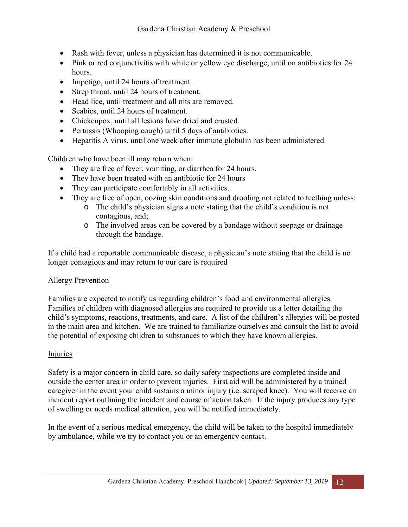- Rash with fever, unless a physician has determined it is not communicable.
- Pink or red conjunctivitis with white or yellow eye discharge, until on antibiotics for 24 hours.
- Impetigo, until 24 hours of treatment.
- Strep throat, until 24 hours of treatment.
- Head lice, until treatment and all nits are removed.
- Scabies, until 24 hours of treatment.
- Chickenpox, until all lesions have dried and crusted.
- Pertussis (Whooping cough) until 5 days of antibiotics.
- Hepatitis A virus, until one week after immune globulin has been administered.

Children who have been ill may return when:

- They are free of fever, vomiting, or diarrhea for 24 hours.
- They have been treated with an antibiotic for 24 hours
- They can participate comfortably in all activities.
- They are free of open, oozing skin conditions and drooling not related to teething unless:
	- o The child's physician signs a note stating that the child's condition is not contagious, and;
		- o The involved areas can be covered by a bandage without seepage or drainage through the bandage.

If a child had a reportable communicable disease, a physician's note stating that the child is no longer contagious and may return to our care is required

#### Allergy Prevention

Families are expected to notify us regarding children's food and environmental allergies. Families of children with diagnosed allergies are required to provide us a letter detailing the child's symptoms, reactions, treatments, and care. A list of the children's allergies will be posted in the main area and kitchen. We are trained to familiarize ourselves and consult the list to avoid the potential of exposing children to substances to which they have known allergies.

#### Injuries

Safety is a major concern in child care, so daily safety inspections are completed inside and outside the center area in order to prevent injuries. First aid will be administered by a trained caregiver in the event your child sustains a minor injury (i.e. scraped knee). You will receive an incident report outlining the incident and course of action taken. If the injury produces any type of swelling or needs medical attention, you will be notified immediately.

In the event of a serious medical emergency, the child will be taken to the hospital immediately by ambulance, while we try to contact you or an emergency contact.